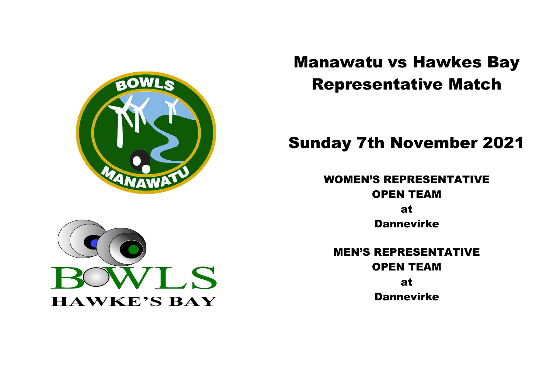

# Manawatu vs Hawkes Bay Representative Match

## Sunday 7th November 2021

WOMEN'S REPRESENTATIVE OPEN TEAM

> at Dannevirke

MEN'S REPRESENTATIVE OPEN TEAM at Dannevirke

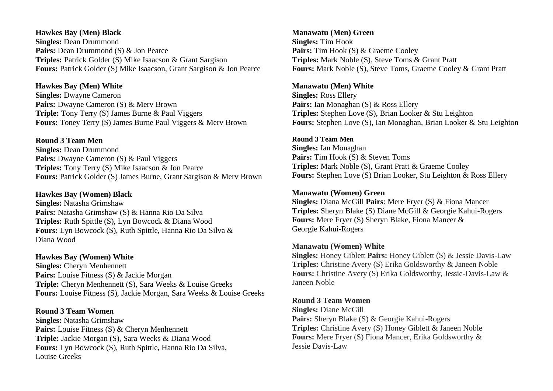## **Hawkes Bay (Men) Black Singles:** Dean Drummond Pairs: Dean Drummond (S) & Jon Pearce **Triples:** Patrick Golder (S) Mike Isaacson & Grant Sargison **Fours:** Patrick Golder (S) Mike Isaacson, Grant Sargison & Jon Pearce

## **Hawkes Bay (Men) White**

**Singles:** Dwayne Cameron **Pairs:** Dwayne Cameron (S) & Merv Brown **Triple:** Tony Terry (S) James Burne & Paul Viggers **Fours:** Toney Terry (S) James Burne Paul Viggers & Merv Brown

### **Round 3 Team Men**

**Singles:** Dean Drummond Pairs: Dwayne Cameron (S) & Paul Viggers **Triples:** Tony Terry (S) Mike Isaacson & Jon Pearce **Fours:** Patrick Golder (S) James Burne, Grant Sargison & Merv Brown

## **Hawkes Bay (Women) Black**

**Singles:** Natasha Grimshaw **Pairs:** Natasha Grimshaw (S) & Hanna Rio Da Silva **Triples:** Ruth Spittle (S), Lyn Bowcock & Diana Wood **Fours:** Lyn Bowcock (S), Ruth Spittle, Hanna Rio Da Silva & Diana Wood

## **Hawkes Bay (Women) White**

**Singles:** Cheryn Menhennett Pairs: Louise Fitness (S) & Jackie Morgan **Triple:** Cheryn Menhennett (S), Sara Weeks & Louise Greeks **Fours:** Louise Fitness (S), Jackie Morgan, Sara Weeks & Louise Greeks

#### **Round 3 Team Women**

**Singles:** Natasha Grimshaw Pairs: Louise Fitness (S) & Cheryn Menhennett **Triple:** Jackie Morgan (S), Sara Weeks & Diana Wood **Fours:** Lyn Bowcock (S), Ruth Spittle, Hanna Rio Da Silva, Louise Greeks

## **Manawatu (Men) Green Singles:** Tim Hook Pairs: Tim Hook (S) & Graeme Cooley **Triples:** Mark Noble (S), Steve Toms & Grant Pratt **Fours:** Mark Noble (S), Steve Toms, Graeme Cooley & Grant Pratt

#### **Manawatu (Men) White**

**Singles:** Ross Ellery Pairs: Ian Monaghan (S) & Ross Ellery **Triples:** Stephen Love (S), Brian Looker & Stu Leighton **Fours:** Stephen Love (S), Ian Monaghan, Brian Looker & Stu Leighton

## **Round 3 Team Men**

**Singles:** Ian Monaghan Pairs: Tim Hook (S) & Steven Toms **Triples:** Mark Noble (S), Grant Pratt & Graeme Cooley **Fours:** Stephen Love (S) Brian Looker, Stu Leighton & Ross Ellery

## **Manawatu (Women) Green**

**Singles:** Diana McGill **Pairs**: Mere Fryer (S) & Fiona Mancer **Triples:** Sheryn Blake (S) Diane McGill & Georgie Kahui-Rogers **Fours:** Mere Fryer (S) Sheryn Blake, Fiona Mancer & Georgie Kahui-Rogers

#### **Manawatu (Women) White**

**Singles:** Honey Giblett **Pairs:** Honey Giblett (S) & Jessie Davis-Law **Triples:** Christine Avery (S) Erika Goldsworthy & Janeen Noble **Fours:** Christine Avery (S) Erika Goldsworthy, Jessie-Davis-Law & Janeen Noble

#### **Round 3 Team Women**

**Singles:** Diane McGill **Pairs:** Sheryn Blake (S) & Georgie Kahui-Rogers **Triples:** Christine Avery (S) Honey Giblett & Janeen Noble **Fours:** Mere Fryer (S) Fiona Mancer, Erika Goldsworthy & Jessie Davis-Law